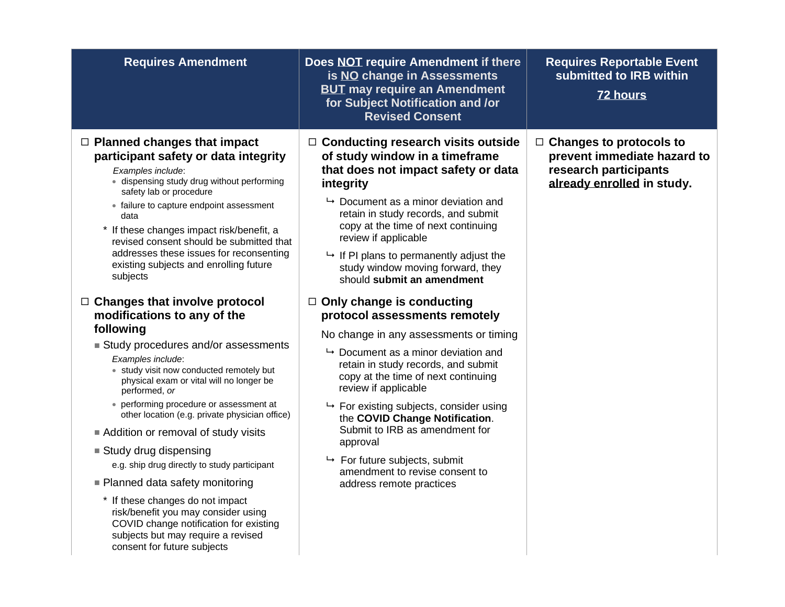| <b>Requires Amendment</b>                                                                                                                                                                                                                                                                                                                                                                                                                                                                                                                                                                                                                                                                                                                                                                                                                                                                                                                                                                                                                                                                                                    | Does NOT require Amendment if there<br>is NO change in Assessments<br><b>BUT may require an Amendment</b><br>for Subject Notification and /or<br><b>Revised Consent</b>                                                                                                                                                                                                                                                                                                                                                                                                                                                                                                                                                                                                                                                                                                                                                          | <b>Requires Reportable Event</b><br>submitted to IRB within<br><b>72 hours</b>                                       |
|------------------------------------------------------------------------------------------------------------------------------------------------------------------------------------------------------------------------------------------------------------------------------------------------------------------------------------------------------------------------------------------------------------------------------------------------------------------------------------------------------------------------------------------------------------------------------------------------------------------------------------------------------------------------------------------------------------------------------------------------------------------------------------------------------------------------------------------------------------------------------------------------------------------------------------------------------------------------------------------------------------------------------------------------------------------------------------------------------------------------------|----------------------------------------------------------------------------------------------------------------------------------------------------------------------------------------------------------------------------------------------------------------------------------------------------------------------------------------------------------------------------------------------------------------------------------------------------------------------------------------------------------------------------------------------------------------------------------------------------------------------------------------------------------------------------------------------------------------------------------------------------------------------------------------------------------------------------------------------------------------------------------------------------------------------------------|----------------------------------------------------------------------------------------------------------------------|
| $\Box$ Planned changes that impact<br>participant safety or data integrity<br>Examples include:<br>· dispensing study drug without performing<br>safety lab or procedure<br>• failure to capture endpoint assessment<br>data<br>* If these changes impact risk/benefit, a<br>revised consent should be submitted that<br>addresses these issues for reconsenting<br>existing subjects and enrolling future<br>subjects<br>$\Box$ Changes that involve protocol<br>modifications to any of the<br>following<br>Study procedures and/or assessments<br>Examples include:<br>• study visit now conducted remotely but<br>physical exam or vital will no longer be<br>performed, or<br>• performing procedure or assessment at<br>other location (e.g. private physician office)<br>Addition or removal of study visits<br>■ Study drug dispensing<br>e.g. ship drug directly to study participant<br>■ Planned data safety monitoring<br>* If these changes do not impact<br>risk/benefit you may consider using<br>COVID change notification for existing<br>subjects but may require a revised<br>consent for future subjects | $\Box$ Conducting research visits outside<br>of study window in a timeframe<br>that does not impact safety or data<br>integrity<br>$\rightarrow$ Document as a minor deviation and<br>retain in study records, and submit<br>copy at the time of next continuing<br>review if applicable<br>$\mapsto$ If PI plans to permanently adjust the<br>study window moving forward, they<br>should submit an amendment<br>$\Box$ Only change is conducting<br>protocol assessments remotely<br>No change in any assessments or timing<br>$\rightarrow$ Document as a minor deviation and<br>retain in study records, and submit<br>copy at the time of next continuing<br>review if applicable<br>$\mapsto$ For existing subjects, consider using<br>the COVID Change Notification.<br>Submit to IRB as amendment for<br>approval<br>$\mapsto$ For future subjects, submit<br>amendment to revise consent to<br>address remote practices | $\Box$ Changes to protocols to<br>prevent immediate hazard to<br>research participants<br>already enrolled in study. |